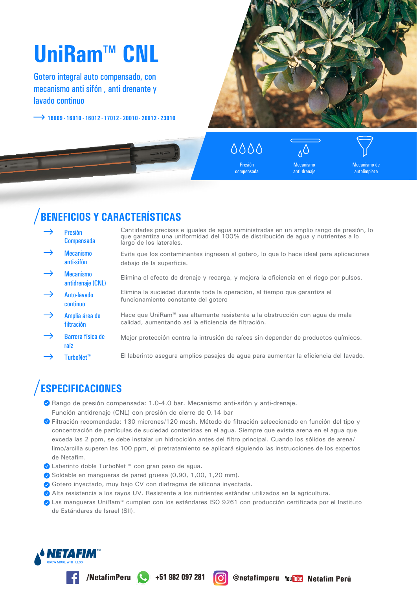# UniRam™ CNL

Gotero integral auto compensado, con mecanismo anti sifón, anti drenante v lavado continuo

 $\rightarrow$  16009 - 16010 - 16012 - 17012 - 20010 - 20012 - 23010



 $\triangle$  $\triangle$  $\triangle$  $\triangle$ Presión compensada

anti-drenaje

autolimpieza

### **BENEFICIOS Y CARACTERÍSTICAS**

- Cantidades precisas e iguales de agua suministradas en un amplio rango de presión, lo **Presión** que garantiza una uniformidad del 100% de distribución de agua y nutrientes a lo **Compensada** largo de los laterales. **Mecanismo** Evita que los contaminantes ingresen al gotero, lo que lo hace ideal para aplicaciones
- anti-sifón debajo de la superficie.
- **Mecanismo** Elimina el efecto de drenaje y recarga, y mejora la eficiencia en el riego por pulsos. antidrenaje (CNL)
- Elimina la suciedad durante toda la operación, al tiempo que garantiza el Auto-lavado funcionamiento constante del gotero continuo
- Hace que UniRam<sup>™</sup> sea altamente resistente a la obstrucción con aqua de mala Amplia área de calidad, aumentando así la eficiencia de filtración. filtración
- Barrera física de Mejor protección contra la intrusión de raíces sin depender de productos químicos. raíz
- El laberinto asegura amplios pasajes de agua para aumentar la eficiencia del lavado.  $\rightarrow$ TurhoNet™

## **ESPECIFICACIONES**

- Rango de presión compensada: 1.0-4.0 bar. Mecanismo anti-sifón y anti-drenaje. Función antidrenaje (CNL) con presión de cierre de 0.14 bar
- Filtración recomendada: 130 micrones/120 mesh. Método de filtración seleccionado en función del tipo y concentración de partículas de suciedad contenidas en el agua. Siempre que exista arena en el agua que exceda las 2 ppm, se debe instalar un hidrociclón antes del filtro principal. Cuando los sólidos de arena/ limo/arcilla superen las 100 ppm, el pretratamiento se aplicará siguiendo las instrucciones de los expertos de Netafim.
- O Laberinto doble TurboNet ™ con gran paso de agua.
- ◆ Soldable en mangueras de pared gruesa (0,90, 1,00, 1,20 mm).
- O Gotero inyectado, muy bajo CV con diafragma de silicona inyectada.

/NetafimPeru +51 982 097 281

- Alta resistencia a los rayos UV. Resistente a los nutrientes estándar utilizados en la agricultura.
- ⊘ Las mangueras UniRam™ cumplen con los estándares ISO 9261 con producción certificada por el Instituto de Estándares de Israel (SII).

**6** @netafimperu You **Mulhe** Netafim Perú